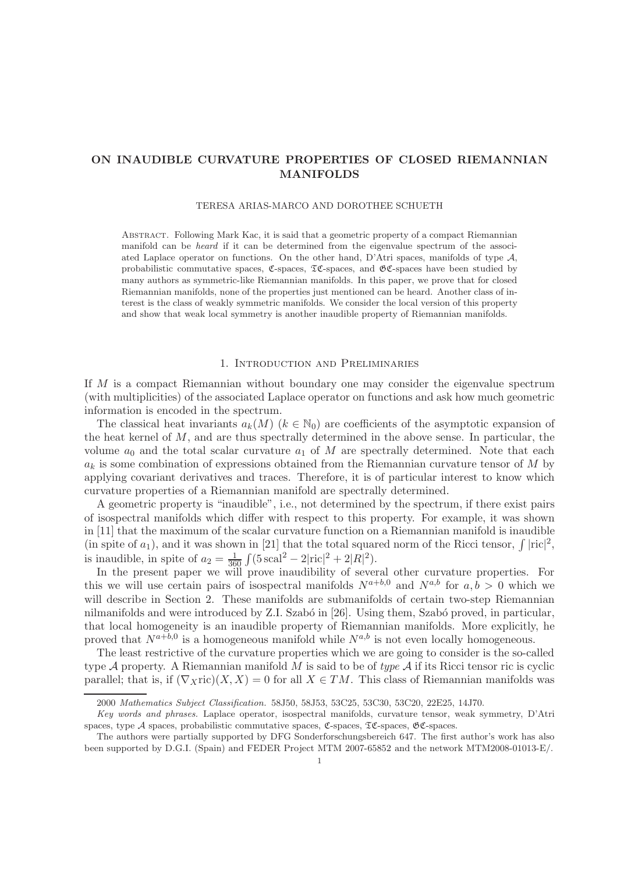## ON INAUDIBLE CURVATURE PROPERTIES OF CLOSED RIEMANNIAN MANIFOLDS

#### TERESA ARIAS-MARCO AND DOROTHEE SCHUETH

Abstract. Following Mark Kac, it is said that a geometric property of a compact Riemannian manifold can be heard if it can be determined from the eigenvalue spectrum of the associated Laplace operator on functions. On the other hand, D'Atri spaces, manifolds of type  $A$ , probabilistic commutative spaces,  $\mathfrak{C}\text{-spaces}$ ,  $\mathfrak{TC}\text{-spaces}$ , and  $\mathfrak{GC}\text{-spaces}$  have been studied by many authors as symmetric-like Riemannian manifolds. In this paper, we prove that for closed Riemannian manifolds, none of the properties just mentioned can be heard. Another class of interest is the class of weakly symmetric manifolds. We consider the local version of this property and show that weak local symmetry is another inaudible property of Riemannian manifolds.

### 1. Introduction and Preliminaries

If M is a compact Riemannian without boundary one may consider the eigenvalue spectrum (with multiplicities) of the associated Laplace operator on functions and ask how much geometric information is encoded in the spectrum.

The classical heat invariants  $a_k(M)$  ( $k \in \mathbb{N}_0$ ) are coefficients of the asymptotic expansion of the heat kernel of  $M$ , and are thus spectrally determined in the above sense. In particular, the volume  $a_0$  and the total scalar curvature  $a_1$  of M are spectrally determined. Note that each  $a_k$  is some combination of expressions obtained from the Riemannian curvature tensor of M by applying covariant derivatives and traces. Therefore, it is of particular interest to know which curvature properties of a Riemannian manifold are spectrally determined.

A geometric property is "inaudible", i.e., not determined by the spectrum, if there exist pairs of isospectral manifolds which differ with respect to this property. For example, it was shown in [11] that the maximum of the scalar curvature function on a Riemannian manifold is inaudible (in spite of  $a_1$ ), and it was shown in [21] that the total squared norm of the Ricci tensor,  $\int | \text{ric}|^2$ , is inaudible, in spite of  $a_2 = \frac{1}{36}$  $\frac{1}{360} \int (5 \, \text{scal}^2 - 2 |\text{ric}|^2 + 2|R|^2).$ 

In the present paper we will prove inaudibility of several other curvature properties. For this we will use certain pairs of isospectral manifolds  $N^{a+b,0}$  and  $N^{a,b}$  for  $a, b > 0$  which we will describe in Section 2. These manifolds are submanifolds of certain two-step Riemannian nilmanifolds and were introduced by Z.I. Szabó in [26]. Using them, Szabó proved, in particular, that local homogeneity is an inaudible property of Riemannian manifolds. More explicitly, he proved that  $N^{a+b,0}$  is a homogeneous manifold while  $N^{a,b}$  is not even locally homogeneous.

The least restrictive of the curvature properties which we are going to consider is the so-called type A property. A Riemannian manifold M is said to be of *type* A if its Ricci tensor ric is cyclic parallel; that is, if  $(\nabla_X \text{ric})(X, X) = 0$  for all  $X \in TM$ . This class of Riemannian manifolds was

<sup>2000</sup> Mathematics Subject Classification. 58J50, 58J53, 53C25, 53C30, 53C20, 22E25, 14J70.

Key words and phrases. Laplace operator, isospectral manifolds, curvature tensor, weak symmetry, D'Atri spaces, type  $A$  spaces, probabilistic commutative spaces,  $\mathfrak{C}$ -spaces,  $\mathfrak{C}$ -spaces,  $\mathfrak{C}$ -spaces.

The authors were partially supported by DFG Sonderforschungsbereich 647. The first author's work has also been supported by D.G.I. (Spain) and FEDER Project MTM 2007-65852 and the network MTM2008-01013-E/.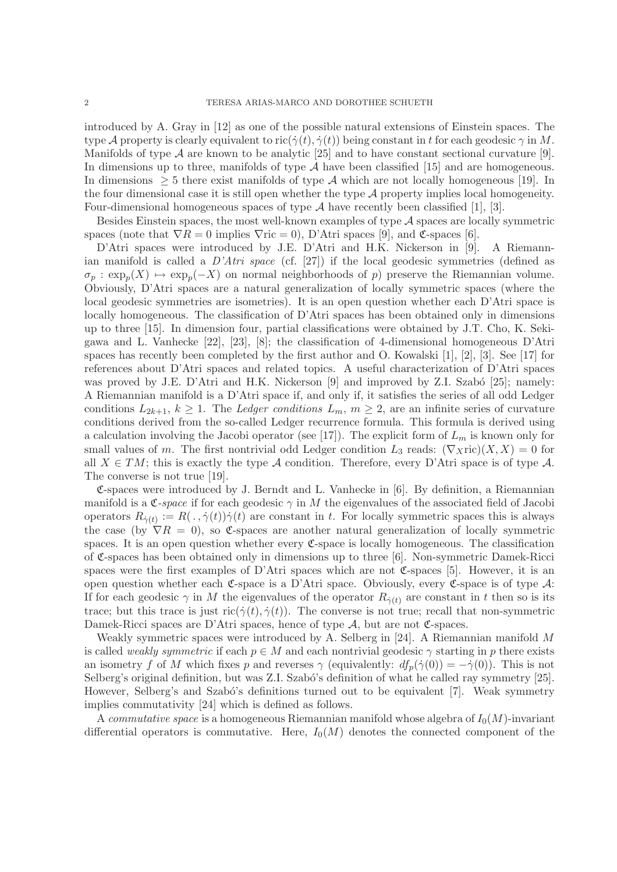introduced by A. Gray in [12] as one of the possible natural extensions of Einstein spaces. The type A property is clearly equivalent to ric $(\dot{\gamma}(t), \dot{\gamma}(t))$  being constant in t for each geodesic  $\gamma$  in M. Manifolds of type  $A$  are known to be analytic [25] and to have constant sectional curvature [9]. In dimensions up to three, manifolds of type  $A$  have been classified [15] and are homogeneous. In dimensions  $\geq$  5 there exist manifolds of type A which are not locally homogeneous [19]. In the four dimensional case it is still open whether the type  $A$  property implies local homogeneity. Four-dimensional homogeneous spaces of type  $A$  have recently been classified [1], [3].

Besides Einstein spaces, the most well-known examples of type  $A$  spaces are locally symmetric spaces (note that  $\nabla R = 0$  implies  $\nabla$ ric = 0), D'Atri spaces [9], and  $\mathfrak{C}$ -spaces [6].

D'Atri spaces were introduced by J.E. D'Atri and H.K. Nickerson in [9]. A Riemannian manifold is called a *D'Atri space* (cf. [27]) if the local geodesic symmetries (defined as  $\sigma_p : \exp_p(X) \mapsto \exp_p(-X)$  on normal neighborhoods of p) preserve the Riemannian volume. Obviously, D'Atri spaces are a natural generalization of locally symmetric spaces (where the local geodesic symmetries are isometries). It is an open question whether each D'Atri space is locally homogeneous. The classification of D'Atri spaces has been obtained only in dimensions up to three [15]. In dimension four, partial classifications were obtained by J.T. Cho, K. Sekigawa and L. Vanhecke [22], [23], [8]; the classification of 4-dimensional homogeneous D'Atri spaces has recently been completed by the first author and O. Kowalski [1], [2], [3]. See [17] for references about D'Atri spaces and related topics. A useful characterization of D'Atri spaces was proved by J.E. D'Atri and H.K. Nickerson  $[9]$  and improved by Z.I. Szabó  $[25]$ ; namely: A Riemannian manifold is a D'Atri space if, and only if, it satisfies the series of all odd Ledger conditions  $L_{2k+1}$ ,  $k \geq 1$ . The *Ledger conditions*  $L_m$ ,  $m \geq 2$ , are an infinite series of curvature conditions derived from the so-called Ledger recurrence formula. This formula is derived using a calculation involving the Jacobi operator (see [17]). The explicit form of  $L_m$  is known only for small values of m. The first nontrivial odd Ledger condition  $L_3$  reads:  $(\nabla_X \text{ric})(X, X) = 0$  for all  $X \in TM$ ; this is exactly the type A condition. Therefore, every D'Atri space is of type A. The converse is not true [19].

 $\mathfrak{C}$ -spaces were introduced by J. Berndt and L. Vanhecke in [6]. By definition, a Riemannian manifold is a  $\mathfrak{C}$ -*space* if for each geodesic  $\gamma$  in M the eigenvalues of the associated field of Jacobi operators  $R_{\dot{\gamma}(t)} := R(. , \dot{\gamma}(t))\dot{\gamma}(t)$  are constant in t. For locally symmetric spaces this is always the case (by  $\nabla R = 0$ ), so C-spaces are another natural generalization of locally symmetric spaces. It is an open question whether every  $\mathfrak{C}$ -space is locally homogeneous. The classification of C-spaces has been obtained only in dimensions up to three [6]. Non-symmetric Damek-Ricci spaces were the first examples of D'Atri spaces which are not  $\mathfrak{C}\text{-spaces}$  [5]. However, it is an open question whether each  $\mathfrak{C}\text{-space}$  is a D'Atri space. Obviously, every  $\mathfrak{C}\text{-space}$  is of type  $\mathcal{A}$ : If for each geodesic  $\gamma$  in M the eigenvalues of the operator  $R_{\gamma(t)}$  are constant in t then so is its trace; but this trace is just  $\text{ric}(\dot{\gamma}(t), \dot{\gamma}(t))$ . The converse is not true; recall that non-symmetric Damek-Ricci spaces are D'Atri spaces, hence of type  $A$ , but are not  $\mathfrak{C}$ -spaces.

Weakly symmetric spaces were introduced by A. Selberg in [24]. A Riemannian manifold M is called *weakly symmetric* if each  $p \in M$  and each nontrivial geodesic  $\gamma$  starting in p there exists an isometry f of M which fixes p and reverses  $\gamma$  (equivalently:  $df_p(\dot{\gamma}(0)) = -\dot{\gamma}(0)$ ). This is not Selberg's original definition, but was Z.I. Szabó's definition of what he called ray symmetry [25]. However, Selberg's and Szabó's definitions turned out to be equivalent [7]. Weak symmetry implies commutativity [24] which is defined as follows.

A *commutative space* is a homogeneous Riemannian manifold whose algebra of  $I_0(M)$ -invariant differential operators is commutative. Here,  $I_0(M)$  denotes the connected component of the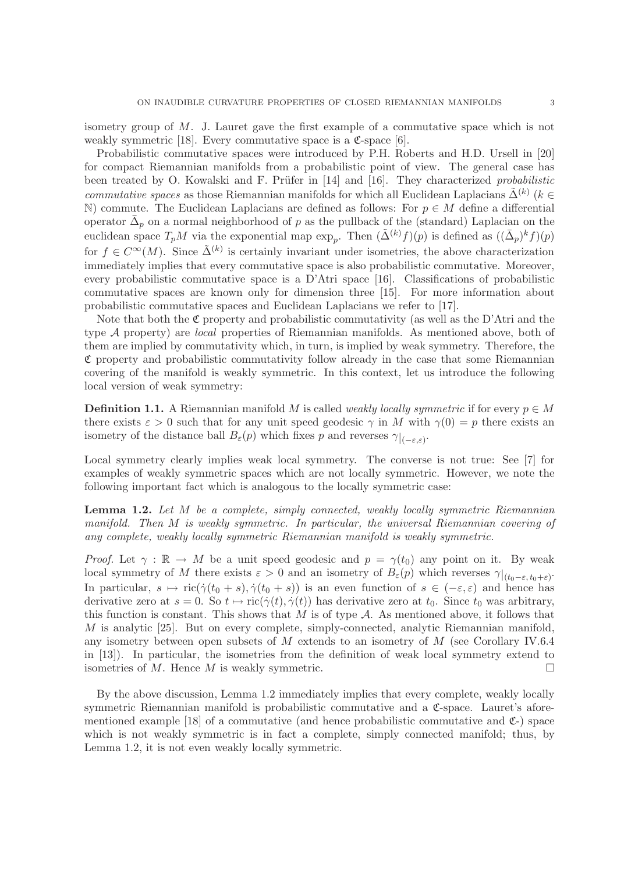isometry group of M. J. Lauret gave the first example of a commutative space which is not weakly symmetric [18]. Every commutative space is a  $\mathfrak{C}\text{-space}$  [6].

Probabilistic commutative spaces were introduced by P.H. Roberts and H.D. Ursell in [20] for compact Riemannian manifolds from a probabilistic point of view. The general case has been treated by O. Kowalski and F. Prüfer in [14] and [16]. They characterized *probabilistic commutative spaces* as those Riemannian manifolds for which all Euclidean Laplacians  $\tilde{\Delta}^{(k)}$  (k ∈ N) commute. The Euclidean Laplacians are defined as follows: For  $p \in M$  define a differential operator  $\bar{\Delta}_p$  on a normal neighborhood of p as the pullback of the (standard) Laplacian on the euclidean space  $T_pM$  via the exponential map  $\exp_p$ . Then  $(\tilde{\Delta}^{(k)}f)(p)$  is defined as  $((\bar{\Delta}_p)^k f)(p)$ for  $f \in C^{\infty}(M)$ . Since  $\tilde{\Delta}^{(k)}$  is certainly invariant under isometries, the above characterization immediately implies that every commutative space is also probabilistic commutative. Moreover, every probabilistic commutative space is a D'Atri space [16]. Classifications of probabilistic commutative spaces are known only for dimension three [15]. For more information about probabilistic commutative spaces and Euclidean Laplacians we refer to [17].

Note that both the  $\mathfrak C$  property and probabilistic commutativity (as well as the D'Atri and the type A property) are *local* properties of Riemannian manifolds. As mentioned above, both of them are implied by commutativity which, in turn, is implied by weak symmetry. Therefore, the  $\mathfrak C$  property and probabilistic commutativity follow already in the case that some Riemannian covering of the manifold is weakly symmetric. In this context, let us introduce the following local version of weak symmetry:

**Definition 1.1.** A Riemannian manifold M is called *weakly locally symmetric* if for every  $p \in M$ there exists  $\varepsilon > 0$  such that for any unit speed geodesic  $\gamma$  in M with  $\gamma(0) = p$  there exists an isometry of the distance ball  $B_{\varepsilon}(p)$  which fixes p and reverses  $\gamma|_{(-\varepsilon,\varepsilon)}$ .

Local symmetry clearly implies weak local symmetry. The converse is not true: See [7] for examples of weakly symmetric spaces which are not locally symmetric. However, we note the following important fact which is analogous to the locally symmetric case:

Lemma 1.2. *Let* M *be a complete, simply connected, weakly locally symmetric Riemannian manifold. Then* M *is weakly symmetric. In particular, the universal Riemannian covering of any complete, weakly locally symmetric Riemannian manifold is weakly symmetric.*

*Proof.* Let  $\gamma : \mathbb{R} \to M$  be a unit speed geodesic and  $p = \gamma(t_0)$  any point on it. By weak local symmetry of M there exists  $\varepsilon > 0$  and an isometry of  $B_{\varepsilon}(p)$  which reverses  $\gamma|_{(t_0-\varepsilon, t_0+\varepsilon)}$ . In particular,  $s \mapsto \text{ric}(\dot{\gamma}(t_0 + s), \dot{\gamma}(t_0 + s))$  is an even function of  $s \in (-\varepsilon, \varepsilon)$  and hence has derivative zero at  $s = 0$ . So  $t \mapsto \text{ric}(\dot{\gamma}(t), \dot{\gamma}(t))$  has derivative zero at  $t_0$ . Since  $t_0$  was arbitrary, this function is constant. This shows that  $M$  is of type  $A$ . As mentioned above, it follows that M is analytic [25]. But on every complete, simply-connected, analytic Riemannian manifold, any isometry between open subsets of M extends to an isometry of M (see Corollary IV.6.4 in [13]). In particular, the isometries from the definition of weak local symmetry extend to isometries of M. Hence M is weakly symmetric.  $\Box$ 

By the above discussion, Lemma 1.2 immediately implies that every complete, weakly locally symmetric Riemannian manifold is probabilistic commutative and a  $\mathfrak{C}\text{-space}$ . Lauret's aforementioned example [18] of a commutative (and hence probabilistic commutative and  $\mathfrak{C}$ -) space which is not weakly symmetric is in fact a complete, simply connected manifold; thus, by Lemma 1.2, it is not even weakly locally symmetric.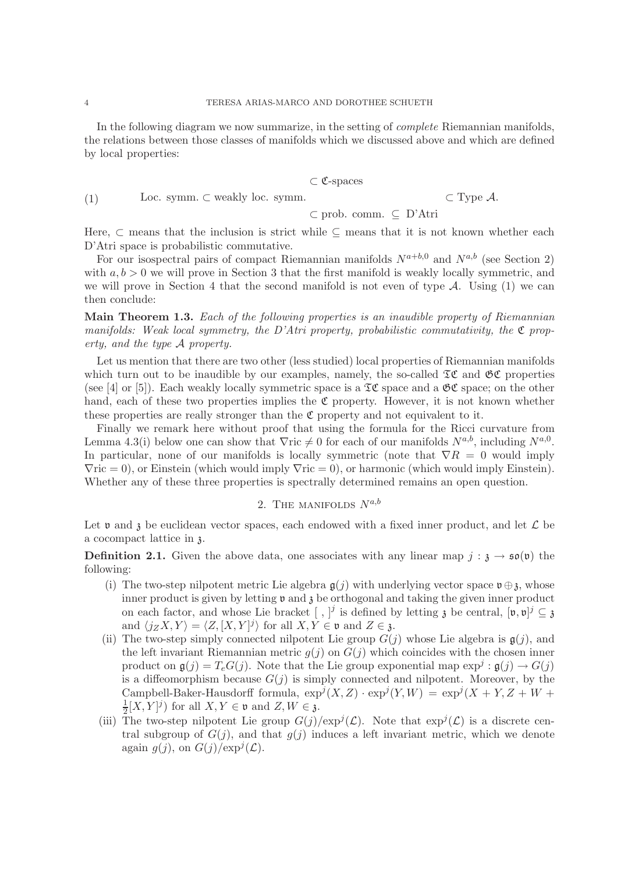In the following diagram we now summarize, in the setting of *complete* Riemannian manifolds, the relations between those classes of manifolds which we discussed above and which are defined by local properties:

$$
\subset \mathfrak{C}\text{-spaces}
$$

Loc. symm.  $\subset$  weakly loc. symm.  $\subset$  Type A. (1)

$$
\subset
$$
 prob. comm.  $\subseteq$  D'Atri

Here,  $\subset$  means that the inclusion is strict while  $\subset$  means that it is not known whether each D'Atri space is probabilistic commutative.

For our isospectral pairs of compact Riemannian manifolds  $N^{a+b,0}$  and  $N^{a,b}$  (see Section 2) with  $a, b > 0$  we will prove in Section 3 that the first manifold is weakly locally symmetric, and we will prove in Section 4 that the second manifold is not even of type  $A$ . Using (1) we can then conclude:

Main Theorem 1.3. *Each of the following properties is an inaudible property of Riemannian manifolds: Weak local symmetry, the D'Atri property, probabilistic commutativity, the*  $\mathfrak{C}$  *property, and the type* A *property.*

Let us mention that there are two other (less studied) local properties of Riemannian manifolds which turn out to be inaudible by our examples, namely, the so-called  $\mathfrak{TC}$  and  $\mathfrak{GC}$  properties (see [4] or [5]). Each weakly locally symmetric space is a  $\mathfrak{TC}$  space and a  $\mathfrak{GC}$  space; on the other hand, each of these two properties implies the  $\mathfrak C$  property. However, it is not known whether these properties are really stronger than the  $\mathfrak C$  property and not equivalent to it.

Finally we remark here without proof that using the formula for the Ricci curvature from Lemma 4.3(i) below one can show that  $\nabla$ ric  $\neq 0$  for each of our manifolds  $N^{a,b}$ , including  $N^{a,0}$ . In particular, none of our manifolds is locally symmetric (note that  $\nabla R = 0$  would imply  $\nabla$ ric = 0), or Einstein (which would imply  $\nabla$ ric = 0), or harmonic (which would imply Einstein). Whether any of these three properties is spectrally determined remains an open question.

# 2. THE MANIFOLDS  $N^{a,b}$

Let v and z be euclidean vector spaces, each endowed with a fixed inner product, and let  $\mathcal L$  be a cocompact lattice in z.

**Definition 2.1.** Given the above data, one associates with any linear map  $j : \mathfrak{z} \to \mathfrak{so}(\mathfrak{v})$  the following:

- (i) The two-step nilpotent metric Lie algebra  $g(j)$  with underlying vector space  $\mathfrak{v} \oplus \mathfrak{z}$ , whose inner product is given by letting  $\mathfrak v$  and  $\mathfrak z$  be orthogonal and taking the given inner product on each factor, and whose Lie bracket  $[ , ]^j$  is defined by letting z be central,  $[ \mathfrak{v}, \mathfrak{v} ]^j \subseteq \mathfrak{z}$ and  $\langle j_Z X, Y \rangle = \langle Z, [X, Y]^j \rangle$  for all  $X, Y \in \mathfrak{v}$  and  $Z \in \mathfrak{z}$ .
- (ii) The two-step simply connected nilpotent Lie group  $G(j)$  whose Lie algebra is  $g(j)$ , and the left invariant Riemannian metric  $g(j)$  on  $G(j)$  which coincides with the chosen inner product on  $g(j) = T_eG(j)$ . Note that the Lie group exponential map  $\exp^j : g(j) \to G(j)$ is a diffeomorphism because  $G(j)$  is simply connected and nilpotent. Moreover, by the Campbell-Baker-Hausdorff formula,  $\exp^j(X, Z) \cdot \exp^j(Y, W) = \exp^j(X + Y, Z + W +$ 1  $\frac{1}{2}[X,Y]^j$  for all  $X, Y \in \mathfrak{v}$  and  $Z, W \in \mathfrak{z}$ .
- (iii) The two-step nilpotent Lie group  $G(j)/\exp^{j}(\mathcal{L})$ . Note that  $\exp^{j}(\mathcal{L})$  is a discrete central subgroup of  $G(j)$ , and that  $g(j)$  induces a left invariant metric, which we denote again  $g(j)$ , on  $G(j)/\exp^j(\mathcal{L})$ .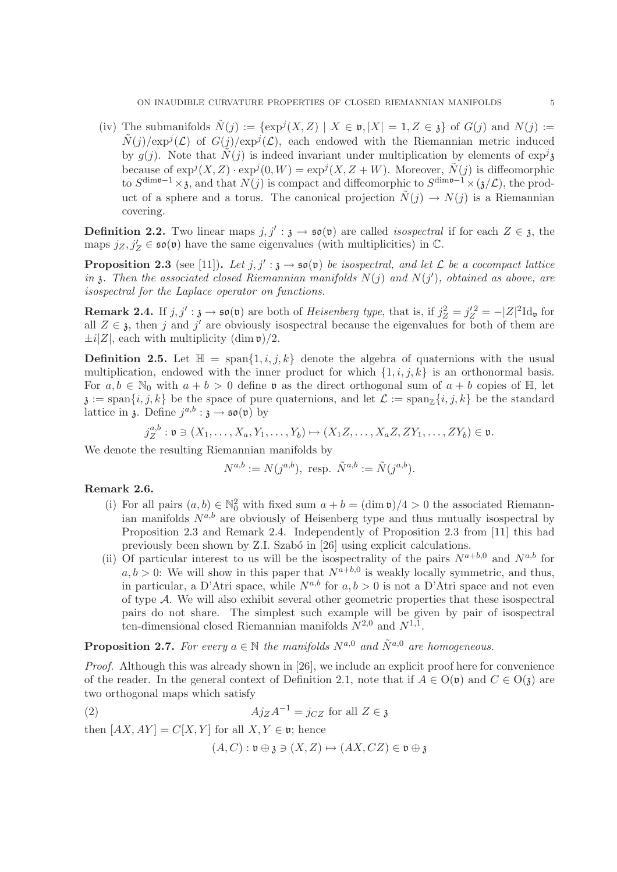(iv) The submanifolds  $\tilde{N}(j) := \{ \exp^{j}(X, Z) \mid X \in \mathfrak{v}, |X| = 1, Z \in \mathfrak{z} \}$  of  $G(j)$  and  $N(j) :=$  $\tilde{N}(j)/\exp^{j}(\mathcal{L})$  of  $G(j)/\exp^{j}(\mathcal{L})$ , each endowed with the Riemannian metric induced by  $g(j)$ . Note that  $\tilde{N}(j)$  is indeed invariant under multiplication by elements of  $\exp^{j} \mathfrak{z}$ because of  $exp^{j}(X, Z) \cdot exp^{j}(0, W) = exp^{j}(X, Z + W)$ . Moreover,  $\tilde{N}(j)$  is diffeomorphic to  $S^{\text{dim}\mathfrak{v}-1}\times\mathfrak{z}$ , and that  $N(j)$  is compact and diffeomorphic to  $S^{\text{dim}\mathfrak{v}-1}\times(\mathfrak{z}/\mathcal{L})$ , the product of a sphere and a torus. The canonical projection  $\tilde{N}(j) \to N(j)$  is a Riemannian covering.

**Definition 2.2.** Two linear maps  $j, j' : \mathfrak{z} \to \mathfrak{so}(\mathfrak{v})$  are called *isospectral* if for each  $Z \in \mathfrak{z}$ , the maps  $j_Z, j'_Z \in \mathfrak{so}(\mathfrak{v})$  have the same eigenvalues (with multiplicities) in  $\mathbb{C}$ .

**Proposition 2.3** (see [11]). Let  $j, j' : \mathfrak{z} \to \mathfrak{so}(\mathfrak{v})$  be isospectral, and let  $\mathcal{L}$  be a cocompact lattice in  $\mathfrak z$ *. Then the associated closed Riemannian manifolds*  $N(j)$  and  $N(j')$ , obtained as above, are *isospectral for the Laplace operator on functions.*

**Remark 2.4.** If  $j, j' : \mathfrak{z} \to \mathfrak{so}(\mathfrak{v})$  are both of *Heisenberg type*, that is, if  $j_Z^2 = j_Z'^2 = -|Z|^2 \mathrm{Id}_{\mathfrak{v}}$  for all  $Z \in \mathfrak{z}$ , then j and j' are obviously isospectral because the eigenvalues for both of them are  $\pm i|Z|$ , each with multiplicity  $(\dim \mathfrak{v})/2$ .

**Definition 2.5.** Let  $\mathbb{H} = \text{span}\{1, i, j, k\}$  denote the algebra of quaternions with the usual multiplication, endowed with the inner product for which  $\{1, i, j, k\}$  is an orthonormal basis. For  $a, b \in \mathbb{N}_0$  with  $a + b > 0$  define v as the direct orthogonal sum of  $a + b$  copies of H, let  $\mathfrak{z} := \text{span}\{i, j, k\}$  be the space of pure quaternions, and let  $\mathcal{L} := \text{span}_{\mathbb{Z}}\{i, j, k\}$  be the standard lattice in  $\mathfrak{z}$ . Define  $j^{a,b} : \mathfrak{z} \to \mathfrak{so}(\mathfrak{v})$  by

$$
j_{Z}^{a,b}:\mathfrak{v}\ni(X_{1},\ldots,X_{a},Y_{1},\ldots,Y_{b})\mapsto(X_{1}Z,\ldots,X_{a}Z,ZY_{1},\ldots,ZY_{b})\in\mathfrak{v}.
$$

We denote the resulting Riemannian manifolds by

$$
N^{a,b} := N(j^{a,b}), \text{ resp. } \tilde{N}^{a,b} := \tilde{N}(j^{a,b}).
$$

## Remark 2.6.

- (i) For all pairs  $(a, b) \in \mathbb{N}_0^2$  with fixed sum  $a + b = (\dim \mathfrak{v})/4 > 0$  the associated Riemannian manifolds  $N^{a,b}$  are obviously of Heisenberg type and thus mutually isospectral by Proposition 2.3 and Remark 2.4. Independently of Proposition 2.3 from [11] this had previously been shown by Z.I. Szabó in [26] using explicit calculations.
- (ii) Of particular interest to us will be the isospectrality of the pairs  $N^{a+b,0}$  and  $N^{a,b}$  for  $a, b > 0$ : We will show in this paper that  $N^{a+b,0}$  is weakly locally symmetric, and thus, in particular, a D'Atri space, while  $N^{a,b}$  for  $a, b > 0$  is not a D'Atri space and not even of type A. We will also exhibit several other geometric properties that these isospectral pairs do not share. The simplest such example will be given by pair of isospectral ten-dimensional closed Riemannian manifolds  $N^{2,0}$  and  $N^{1,1}$ .

**Proposition 2.7.** *For every*  $a \in \mathbb{N}$  *the manifolds*  $N^{a,0}$  *and*  $\tilde{N}^{a,0}$  *are homogeneous.* 

*Proof.* Although this was already shown in [26], we include an explicit proof here for convenience of the reader. In the general context of Definition 2.1, note that if  $A \in O(\mathfrak{v})$  and  $C \in O(\mathfrak{z})$  are two orthogonal maps which satisfy

(2) 
$$
A j_Z A^{-1} = j_{CZ} \text{ for all } Z \in \mathfrak{z}
$$

then  $[AX, AY] = C[X, Y]$  for all  $X, Y \in \mathfrak{v}$ ; hence

 $(A, C) : \mathfrak{v} \oplus \mathfrak{z} \ni (X, Z) \mapsto (AX, CZ) \in \mathfrak{v} \oplus \mathfrak{z}$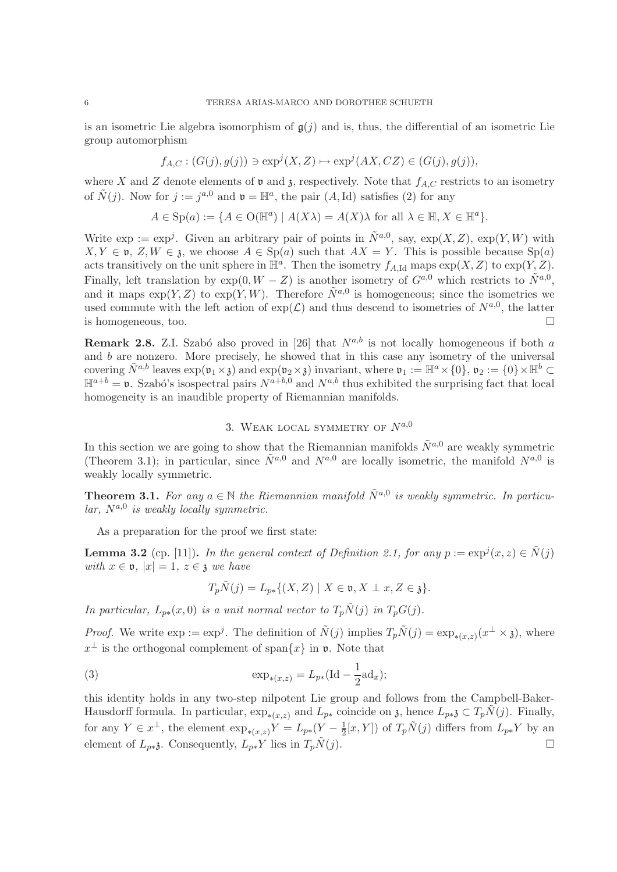is an isometric Lie algebra isomorphism of  $g(j)$  and is, thus, the differential of an isometric Lie group automorphism

$$
f_{A,C}: (G(j), g(j)) \ni \exp^j(X, Z) \mapsto \exp^j(AX, CZ) \in (G(j), g(j)),
$$

where X and Z denote elements of  $\mathfrak v$  and  $\mathfrak z$ , respectively. Note that  $f_{A,C}$  restricts to an isometry of  $\tilde{N}(j)$ . Now for  $j := j^{a,0}$  and  $\mathfrak{v} = \mathbb{H}^a$ , the pair  $(A, Id)$  satisfies (2) for any

$$
A \in \mathrm{Sp}(a) := \{ A \in \mathrm{O}(\mathbb{H}^a) \mid A(X\lambda) = A(X)\lambda \text{ for all } \lambda \in \mathbb{H}, X \in \mathbb{H}^a \}.
$$

Write  $\exp := \exp^j$ . Given an arbitrary pair of points in  $\tilde{N}^{a,0}$ , say,  $\exp(X,Z)$ ,  $\exp(Y,W)$  with  $X, Y \in \mathfrak{v}, Z, W \in \mathfrak{z}$ , we choose  $A \in Sp(a)$  such that  $AX = Y$ . This is possible because  $Sp(a)$ acts transitively on the unit sphere in  $\mathbb{H}^a$ . Then the isometry  $f_{A,\text{Id}}$  maps  $\exp(X, Z)$  to  $\exp(Y, Z)$ . Finally, left translation by  $\exp(0, W - Z)$  is another isometry of  $G^{a,0}$  which restricts to  $\tilde{N}^{a,0}$ , and it maps  $\exp(Y, Z)$  to  $\exp(Y, W)$ . Therefore  $\tilde{N}^{a,0}$  is homogeneous; since the isometries we used commute with the left action of  $\exp(\mathcal{L})$  and thus descend to isometries of  $N^{a,0}$ , the latter is homogeneous, too.  $\Box$ 

**Remark 2.8.** Z.I. Szabó also proved in [26] that  $N^{a,b}$  is not locally homogeneous if both a and b are nonzero. More precisely, he showed that in this case any isometry of the universal covering  $\tilde{N}^{a,b}$  leaves  $\exp(\mathfrak{v}_1 \times \mathfrak{z})$  and  $\exp(\mathfrak{v}_2 \times \mathfrak{z})$  invariant, where  $\mathfrak{v}_1 := \mathbb{H}^a \times \{0\}$ ,  $\mathfrak{v}_2 := \{0\} \times \mathbb{H}^b \subset$  $\mathbb{H}^{a+b} = \mathfrak{v}$ . Szabó's isospectral pairs  $N^{a+b,\overline{0}}$  and  $N^{a,b}$  thus exhibited the surprising fact that local homogeneity is an inaudible property of Riemannian manifolds.

# 3. WEAK LOCAL SYMMETRY OF  $N^{a,0}$

In this section we are going to show that the Riemannian manifolds  $\tilde{N}^{a,0}$  are weakly symmetric (Theorem 3.1); in particular, since  $\tilde{N}^{a,0}$  and  $N^{a,0}$  are locally isometric, the manifold  $N^{a,0}$  is weakly locally symmetric.

**Theorem 3.1.** For any  $a \in \mathbb{N}$  the Riemannian manifold  $\tilde{N}^{a,0}$  is weakly symmetric. In particu $lar, N^{a,0}$  is weakly locally symmetric.

As a preparation for the proof we first state:

**Lemma 3.2** (cp. [11]). *In the general context of Definition 2.1, for any*  $p := \exp^{j}(x, z) \in \tilde{N}(j)$ *with*  $x \in \mathfrak{v}$ ,  $|x| = 1$ ,  $z \in \mathfrak{z}$  *we have* 

$$
T_p N(j) = L_{p*}\{(X, Z) \mid X \in \mathfrak{v}, X \perp x, Z \in \mathfrak{z}\}.
$$

*In particular,*  $L_{p*}(x,0)$  *is a unit normal vector to*  $T_p\tilde{N}(j)$  *in*  $T_pG(j)$ *.* 

*Proof.* We write  $\exp := \exp^j$ . The definition of  $\tilde{N}(j)$  implies  $T_p\tilde{N}(j) = \exp_{*(x,z)}(x^{\perp} \times \mathfrak{z})$ , where  $x^{\perp}$  is the orthogonal complement of span $\{x\}$  in  $\mathfrak{v}$ . Note that

(3) 
$$
\exp_{*(x,z)} = L_{p*}(\text{Id} - \frac{1}{2}ad_x);
$$

this identity holds in any two-step nilpotent Lie group and follows from the Campbell-Baker-Hausdorff formula. In particular,  $\exp_{*(x,z)}$  and  $L_{p*}$  coincide on  $\mathfrak{z}$ , hence  $L_{p*3} \subset T_pN(j)$ . Finally, for any  $Y \in x^{\perp}$ , the element  $\exp_{*(x,z)} Y = L_{p*}(Y - \frac{1}{2})$  $\frac{1}{2}[x,Y]$  of  $T_p\tilde{N}(j)$  differs from  $L_{p*}Y$  by an element of  $L_{p*3}$ . Consequently,  $L_{p*}Y$  lies in  $T_p\tilde{N}(j)$ .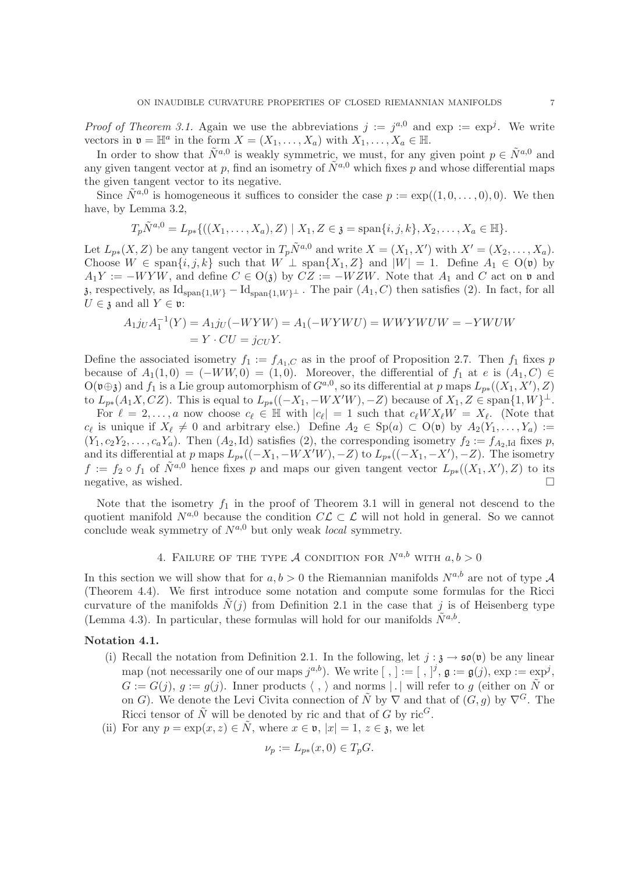*Proof of Theorem 3.1.* Again we use the abbreviations  $j := j^{a,0}$  and  $\exp := \exp^j$ . We write vectors in  $\mathfrak{v} = \mathbb{H}^a$  in the form  $X = (X_1, \ldots, X_a)$  with  $X_1, \ldots, X_a \in \mathbb{H}$ .

In order to show that  $\tilde{N}^{a,0}$  is weakly symmetric, we must, for any given point  $p \in \tilde{N}^{a,0}$  and any given tangent vector at p, find an isometry of  $\tilde{N}^{a,0}$  which fixes p and whose differential maps the given tangent vector to its negative.

Since  $\tilde{N}^{a,0}$  is homogeneous it suffices to consider the case  $p := \exp((1,0,\ldots,0),0)$ . We then have, by Lemma 3.2,

$$
T_p\tilde{N}^{a,0} = L_{p*}\{((X_1,\ldots,X_a),Z) \mid X_1,Z \in \mathfrak{z} = \mathrm{span}\{i,j,k\}, X_2,\ldots,X_a \in \mathbb{H}\}.
$$

Let  $L_{p*}(X, Z)$  be any tangent vector in  $T_p\tilde{N}^{a,0}$  and write  $X = (X_1, X')$  with  $X' = (X_2, \ldots, X_a)$ . Choose  $W \in \text{span}\{i, j, k\}$  such that  $W \perp \text{span}\{X_1, Z\}$  and  $|W| = 1$ . Define  $A_1 \in O(\mathfrak{v})$  by  $A_1Y := -WYW$ , and define  $C \in O(3)$  by  $CZ := -WZW$ . Note that  $A_1$  and C act on v and  $\mathfrak{z}$ , respectively, as  $\mathrm{Id}_{\mathrm{span}\{1,W\}}-\mathrm{Id}_{\mathrm{span}\{1,W\}}$ . The pair  $(A_1, C)$  then satisfies (2). In fact, for all  $U \in \mathfrak{z}$  and all  $Y \in \mathfrak{v}$ :

$$
A_1 j_U A_1^{-1}(Y) = A_1 j_U(-WYW) = A_1(-WYWU) = WWYWUW = -YWUW
$$
  
=  $Y \cdot CU = j_{CU}Y$ .

Define the associated isometry  $f_1 := f_{A_1,C}$  as in the proof of Proposition 2.7. Then  $f_1$  fixes p because of  $A_1(1,0) = (-WW,0) = (1,0)$ . Moreover, the differential of  $f_1$  at e is  $(A_1, C) \in$  $O(\mathfrak{v} \oplus \mathfrak{z})$  and  $f_1$  is a Lie group automorphism of  $G^{a,0}$ , so its differential at p maps  $L_{p*}((X_1, X'), Z)$ to  $L_{p*}(A_1X,CZ)$ . This is equal to  $L_{p*}((-X_1, -WX'W), -Z)$  because of  $X_1, Z \in \text{span}\{1, W\}^{\perp}$ .

For  $\ell = 2, \ldots, a$  now choose  $c_{\ell} \in \mathbb{H}$  with  $|c_{\ell}| = 1$  such that  $c_{\ell}WX_{\ell}W = X_{\ell}$ . (Note that  $c_{\ell}$  is unique if  $X_{\ell} \neq 0$  and arbitrary else.) Define  $A_2 \in Sp(a) \subset O(\mathfrak{v})$  by  $A_2(Y_1, \ldots, Y_a) :=$  $(Y_1, c_2Y_2, \ldots, c_aY_a)$ . Then  $(A_2, Id)$  satisfies (2), the corresponding isometry  $f_2 := f_{A_2, Id}$  fixes p, and its differential at p maps  $L_{p*}((-X_1, -WX'W), -Z)$  to  $L_{p*}((-X_1, -X'), -Z)$ . The isometry  $f := f_2 \circ f_1$  of  $\tilde{N}^{a,0}$  hence fixes p and maps our given tangent vector  $L_{p*}((X_1, X'), Z)$  to its negative, as wished.

Note that the isometry  $f_1$  in the proof of Theorem 3.1 will in general not descend to the quotient manifold  $N^{a,0}$  because the condition  $C\mathcal{L} \subset \mathcal{L}$  will not hold in general. So we cannot conclude weak symmetry of  $N^{a,0}$  but only weak *local* symmetry.

# 4. FAILURE OF THE TYPE A CONDITION FOR  $N^{a,b}$  with  $a, b > 0$

In this section we will show that for  $a, b > 0$  the Riemannian manifolds  $N^{a,b}$  are not of type A (Theorem 4.4). We first introduce some notation and compute some formulas for the Ricci curvature of the manifolds  $\tilde{N}(j)$  from Definition 2.1 in the case that j is of Heisenberg type (Lemma 4.3). In particular, these formulas will hold for our manifolds  $\tilde{N}^{a,b}$ .

## Notation 4.1.

- (i) Recall the notation from Definition 2.1. In the following, let  $j : \mathfrak{z} \to \mathfrak{so}(\mathfrak{v})$  be any linear map (not necessarily one of our maps  $j^{a,b}$ ). We write  $[ , ] := [ , ]^j, \mathfrak{g} := \mathfrak{g}(j), \exp := \exp^j,$  $G := G(j), q := g(j)$ . Inner products  $\langle , \rangle$  and norms | | will refer to g (either on  $\tilde{N}$  or on G). We denote the Levi Civita connection of  $\tilde{N}$  by  $\nabla$  and that of  $(G, g)$  by  $\nabla^{G}$ . The Ricci tensor of  $\tilde{N}$  will be denoted by ric and that of G by ric<sup>G</sup>.
- (ii) For any  $p = \exp(x, z) \in \tilde{N}$ , where  $x \in \mathfrak{v}$ ,  $|x| = 1, z \in \mathfrak{z}$ , we let

$$
\nu_p := L_{p*}(x,0) \in T_p G.
$$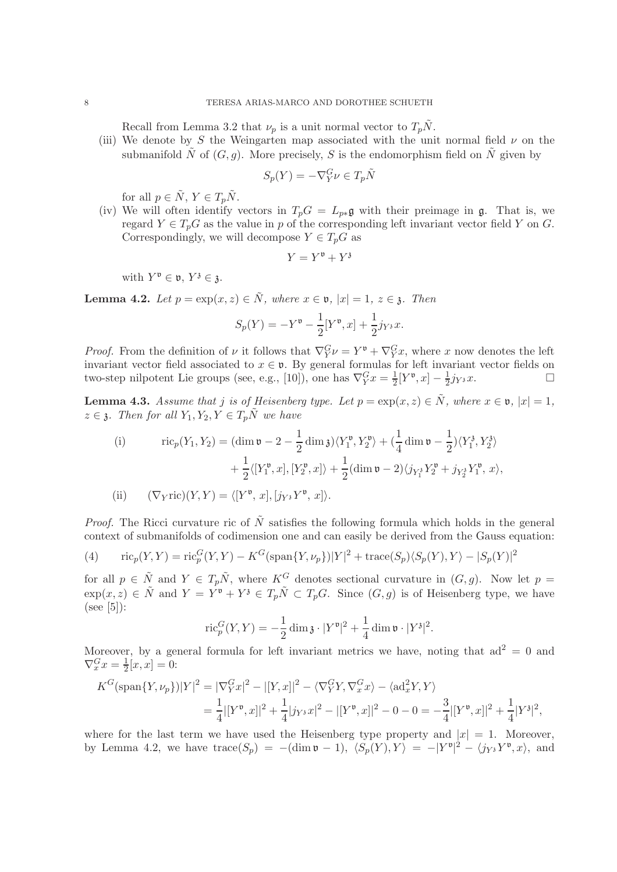Recall from Lemma 3.2 that  $\nu_p$  is a unit normal vector to  $T_p\tilde{N}$ .

(iii) We denote by S the Weingarten map associated with the unit normal field  $\nu$  on the submanifold  $\tilde{N}$  of  $(G, g)$ . More precisely, S is the endomorphism field on  $\tilde{N}$  given by

$$
S_p(Y) = -\nabla_Y^G \nu \in T_p \tilde{N}
$$

for all  $p \in \tilde{N}$ ,  $Y \in T_p\tilde{N}$ .

(iv) We will often identify vectors in  $T_pG = L_{p*} \mathfrak{g}$  with their preimage in  $\mathfrak{g}$ . That is, we regard  $Y \in T_pG$  as the value in p of the corresponding left invariant vector field Y on G. Correspondingly, we will decompose  $Y \in T_pG$  as

$$
Y = Y^{\mathfrak{v}} + Y^{\mathfrak{z}}
$$

with  $Y^{\mathfrak{v}} \in \mathfrak{v}, Y^{\mathfrak{z}} \in \mathfrak{z}.$ 

**Lemma 4.2.** *Let*  $p = \exp(x, z) \in \tilde{N}$ *, where*  $x \in \mathfrak{v}$ *,*  $|x| = 1$ *,*  $z \in \mathfrak{z}$ *. Then* 

$$
S_p(Y) = -Y^{\mathfrak{v}} - \frac{1}{2}[Y^{\mathfrak{v}}, x] + \frac{1}{2}j_{Y^3}x.
$$

*Proof.* From the definition of  $\nu$  it follows that  $\nabla_Y^G \nu = Y^{\mathfrak{v}} + \nabla_Y^G x$ , where x now denotes the left invariant vector field associated to  $x \in \mathfrak{v}$ . By general formulas for left invariant vector fields on two-step nilpotent Lie groups (see, e.g., [10]), one has  $\nabla_Y^G x = \frac{1}{2} [Y^{\mathfrak{v}}, x] - \frac{1}{2} j_{Y^3} x$ .

**Lemma 4.3.** Assume that j is of Heisenberg type. Let  $p = \exp(x, z) \in \tilde{N}$ , where  $x \in \mathfrak{v}$ ,  $|x| = 1$ ,  $z \in \mathfrak{z}$ *. Then for all*  $Y_1, Y_2, Y \in T_n\tilde{N}$  *we have* 

(i) 
$$
\operatorname{ric}_p(Y_1, Y_2) = (\dim \mathfrak{v} - 2 - \frac{1}{2} \dim \mathfrak{z}) \langle Y_1^{\mathfrak{v}}, Y_2^{\mathfrak{v}} \rangle + (\frac{1}{4} \dim \mathfrak{v} - \frac{1}{2}) \langle Y_1^{\mathfrak{z}}, Y_2^{\mathfrak{z}} \rangle + \frac{1}{2} \langle [Y_1^{\mathfrak{v}}, x], [Y_2^{\mathfrak{v}}, x] \rangle + \frac{1}{2} (\dim \mathfrak{v} - 2) \langle j_{Y_1^{\mathfrak{z}}} Y_2^{\mathfrak{v}} + j_{Y_2^{\mathfrak{z}}} Y_1^{\mathfrak{v}}, x \rangle,
$$
  
(ii) 
$$
(\nabla_Y \operatorname{ric})(Y, Y) = \langle [Y^{\mathfrak{v}}, x], [j_{Y^{\mathfrak{z}}} Y^{\mathfrak{v}}, x] \rangle.
$$

*Proof.* The Ricci curvature ric of  $\tilde{N}$  satisfies the following formula which holds in the general context of submanifolds of codimension one and can easily be derived from the Gauss equation:

(4) 
$$
\text{ric}_p(Y, Y) = \text{ric}_p^G(Y, Y) - K^G(\text{span}\{Y, \nu_p\}) |Y|^2 + \text{trace}(S_p) \langle S_p(Y), Y \rangle - |S_p(Y)|^2
$$

for all  $p \in \tilde{N}$  and  $Y \in T_p\tilde{N}$ , where  $K^G$  denotes sectional curvature in  $(G, g)$ . Now let  $p =$  $\exp(x, z) \in \tilde{N}$  and  $Y = Y^{\mathfrak{v}} + Y^{\mathfrak{z}} \in T_p \tilde{N} \subset T_p G$ . Since  $(G, g)$  is of Heisenberg type, we have  $(see [5]):$ 

$$
\operatorname{ric}_p^G(Y,Y) = -\frac{1}{2}\dim \mathfrak{z} \cdot |Y^{\mathfrak{v}}|^2 + \frac{1}{4}\dim \mathfrak{v} \cdot |Y^{\mathfrak{z}}|^2.
$$

Moreover, by a general formula for left invariant metrics we have, noting that  $ad^2 = 0$  and  $\nabla_x^G x = \frac{1}{2}$  $\frac{1}{2}[x,x] = 0:$ 

$$
K^{G}(\text{span}\{Y,\nu_{p}\})|Y|^{2} = |\nabla_{Y}^{G}x|^{2} - |[Y,x]|^{2} - \langle \nabla_{Y}^{G}Y, \nabla_{x}^{G}x \rangle - \langle \text{ad}_{x}^{2}Y, Y \rangle
$$
  
=  $\frac{1}{4} |[Y^{\mathfrak{v}},x]|^{2} + \frac{1}{4}|j_{Y^{3}}x|^{2} - |[Y^{\mathfrak{v}},x]|^{2} - 0 - 0 = -\frac{3}{4}|[Y^{\mathfrak{v}},x]|^{2} + \frac{1}{4}|Y^{3}|^{2},$ 

where for the last term we have used the Heisenberg type property and  $|x| = 1$ . Moreover, by Lemma 4.2, we have  $trace(S_p) = -(\dim \mathfrak{v} - 1), \langle S_p(Y), Y \rangle = -|Y^{\mathfrak{v}}|^2 - \langle j_Y, Y^{\mathfrak{v}}, x \rangle$ , and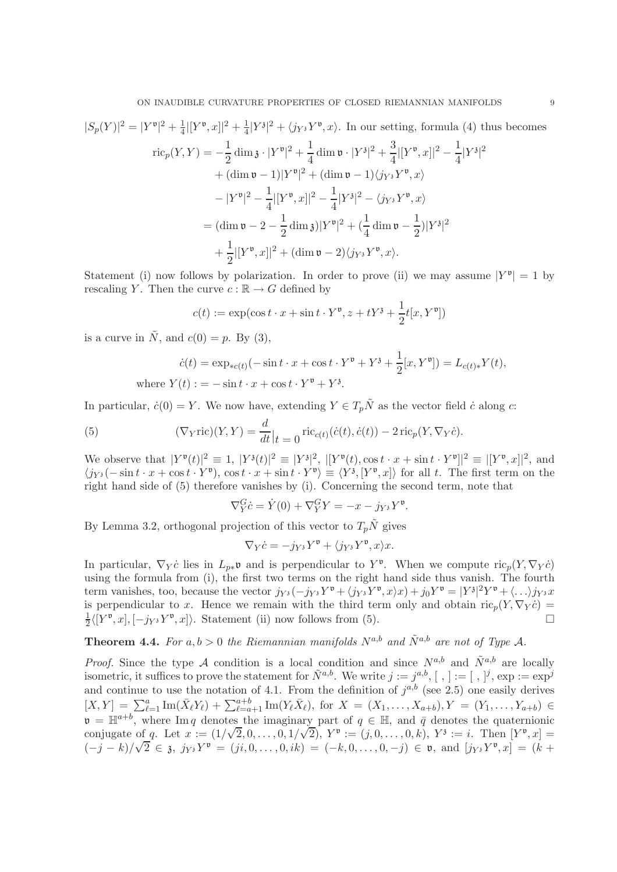$$
|S_p(Y)|^2 = |Y^{\mathfrak{v}}|^2 + \frac{1}{4}|[Y^{\mathfrak{v}},x]|^2 + \frac{1}{4}|Y^{\mathfrak{z}}|^2 + \langle j_{Y^{\mathfrak{z}}} Y^{\mathfrak{v}},x\rangle.
$$
 In our setting, formula (4) thus becomes  
\n
$$
\text{ric}_p(Y,Y) = -\frac{1}{2}\dim \mathfrak{z} \cdot |Y^{\mathfrak{v}}|^2 + \frac{1}{4}\dim \mathfrak{v} \cdot |Y^{\mathfrak{z}}|^2 + \frac{3}{4}|[Y^{\mathfrak{v}},x]|^2 - \frac{1}{4}|Y^{\mathfrak{z}}|^2
$$
\n
$$
+ (\dim \mathfrak{v} - 1)|Y^{\mathfrak{v}}|^2 + (\dim \mathfrak{v} - 1)\langle j_{Y^{\mathfrak{z}}} Y^{\mathfrak{v}},x\rangle
$$
\n
$$
- |Y^{\mathfrak{v}}|^2 - \frac{1}{4}|[Y^{\mathfrak{v}},x]|^2 - \frac{1}{4}|Y^{\mathfrak{z}}|^2 - \langle j_{Y^{\mathfrak{z}}} Y^{\mathfrak{v}},x\rangle
$$
\n
$$
= (\dim \mathfrak{v} - 2 - \frac{1}{2}\dim \mathfrak{z})|Y^{\mathfrak{v}}|^2 + (\frac{1}{4}\dim \mathfrak{v} - \frac{1}{2})|Y^{\mathfrak{z}}|^2
$$
\n
$$
+ \frac{1}{2}|[Y^{\mathfrak{v}},x]|^2 + (\dim \mathfrak{v} - 2)\langle j_{Y^{\mathfrak{z}}} Y^{\mathfrak{v}},x\rangle.
$$

Statement (i) now follows by polarization. In order to prove (ii) we may assume  $|Y^{\mathfrak{v}}| = 1$  by rescaling Y. Then the curve  $c : \mathbb{R} \to G$  defined by

$$
c(t) := \exp(\cos t \cdot x + \sin t \cdot Y^{\mathfrak{v}}, z + tY^{\mathfrak{z}} + \frac{1}{2}t[x, Y^{\mathfrak{v}}])
$$

is a curve in  $\tilde{N}$ , and  $c(0) = p$ . By (3),

$$
\dot{c}(t) = \exp_{*c(t)}(-\sin t \cdot x + \cos t \cdot Y^{\mathfrak{v}} + Y^{\mathfrak{z}} + \frac{1}{2}[x, Y^{\mathfrak{v}}]) = L_{c(t)*}Y(t),
$$
  
where  $Y(t) := -\sin t \cdot x + \cos t \cdot Y^{\mathfrak{v}} + Y^{\mathfrak{z}}.$ 

In particular,  $\dot{c}(0) = Y$ . We now have, extending  $Y \in T_n\tilde{N}$  as the vector field  $\dot{c}$  along  $c$ :

(5) 
$$
(\nabla_Y \text{ric})(Y, Y) = \frac{d}{dt}\Big|_{t=0} \text{ric}_{c(t)}(\dot{c}(t), \dot{c}(t)) - 2 \text{ric}_p(Y, \nabla_Y \dot{c}).
$$

We observe that  $|Y^{\mathfrak{v}}(t)|^2 \equiv 1, |Y^{\mathfrak{z}}(t)|^2 \equiv |Y^{\mathfrak{z}}|^2, |[Y^{\mathfrak{v}}(t), \cos t \cdot x + \sin t \cdot Y^{\mathfrak{v}}]|^2 \equiv |[Y^{\mathfrak{v}}, x]|^2$ , and  $\langle j_{Y^3}(-\sin t \cdot x + \cos t \cdot Y^{\mathfrak{v}}), \cos t \cdot x + \sin t \cdot Y^{\mathfrak{v}} \rangle \equiv \langle Y^3, [Y^{\mathfrak{v}}, x] \rangle$  for all t. The first term on the right hand side of (5) therefore vanishes by (i). Concerning the second term, note that

$$
\nabla_Y^G \dot{c} = \dot{Y}(0) + \nabla_Y^G Y = -x - j_{Y^3} Y^{\mathfrak{v}}
$$

.

By Lemma 3.2, orthogonal projection of this vector to  $T_p\tilde{N}$  gives

$$
\nabla_Y \dot{c} = -j_{Y^3} Y^{\mathfrak{v}} + \langle j_{Y^3} Y^{\mathfrak{v}}, x \rangle x.
$$

In particular,  $\nabla_Y \dot{c}$  lies in  $L_{p*} \mathfrak{v}$  and is perpendicular to  $Y^{\mathfrak{v}}$ . When we compute  $\text{ric}_p(Y, \nabla_Y \dot{c})$ using the formula from (i), the first two terms on the right hand side thus vanish. The fourth term vanishes, too, because the vector  $j_{Y^3}(-j_{Y^3}Y^{\mathfrak{v}} + \langle j_{Y^3}Y^{\mathfrak{v}}, x \rangle x) + j_0Y^{\mathfrak{v}} = |Y^3|^2 Y^{\mathfrak{v}} + \langle ... \rangle j_{Y^3}x$ is perpendicular to x. Hence we remain with the third term only and obtain  $\operatorname{ric}_p(Y, \nabla_Y \dot{c}) =$ 1  $\frac{1}{2}\langle[Y^{\mathfrak{v}},x],[-j_{Y^3}Y^{\mathfrak{v}},x]\rangle$ . Statement (ii) now follows from (5).

**Theorem 4.4.** For  $a, b > 0$  the Riemannian manifolds  $N^{a,b}$  and  $\tilde{N}^{a,b}$  are not of Type A.

*Proof.* Since the type A condition is a local condition and since  $N^{a,b}$  and  $\tilde{N}^{a,b}$  are locally isometric, it suffices to prove the statement for  $\tilde{N}^{a,b}$ . We write  $j := j^{a,b}, [ , ] := [ , ]^j$ ,  $\exp := \exp^j$ and continue to use the notation of 4.1. From the definition of  $j^{a,b}$  (see 2.5) one easily derives  $[X,Y] = \sum_{\ell=1}^{a} \text{Im}(\bar{X}_{\ell}Y_{\ell}) + \sum_{\ell=a+1}^{a+b} \text{Im}(Y_{\ell}X_{\ell}), \text{ for } X = (X_1,\ldots,X_{a+b}), Y = (Y_1,\ldots,Y_{a+b}) \in$  $\mathfrak{v} = \mathbb{H}^{a+b}$ , where Im q denotes the imaginary part of  $q \in \mathbb{H}$ , and  $\bar{q}$  denotes the quaternionic conjugate of q. Let  $x := (1/\sqrt{2}, 0, \ldots, 0, 1/\sqrt{2}), Y^{\mathfrak{v}} := (j, 0, \ldots, 0, k), Y^{\mathfrak{z}} := i$ . Then  $[Y^{\mathfrak{v}}, x] =$  $(-j - k)/\sqrt{2} \in \mathfrak{z}, j_{Y^3}Y^{\mathfrak{v}} = (ji, 0, \ldots, 0, ik) = (-k, 0, \ldots, 0, -j) \in \mathfrak{v}, \text{ and } [j_{Y^3}Y^{\mathfrak{v}}, x] = (k + j)$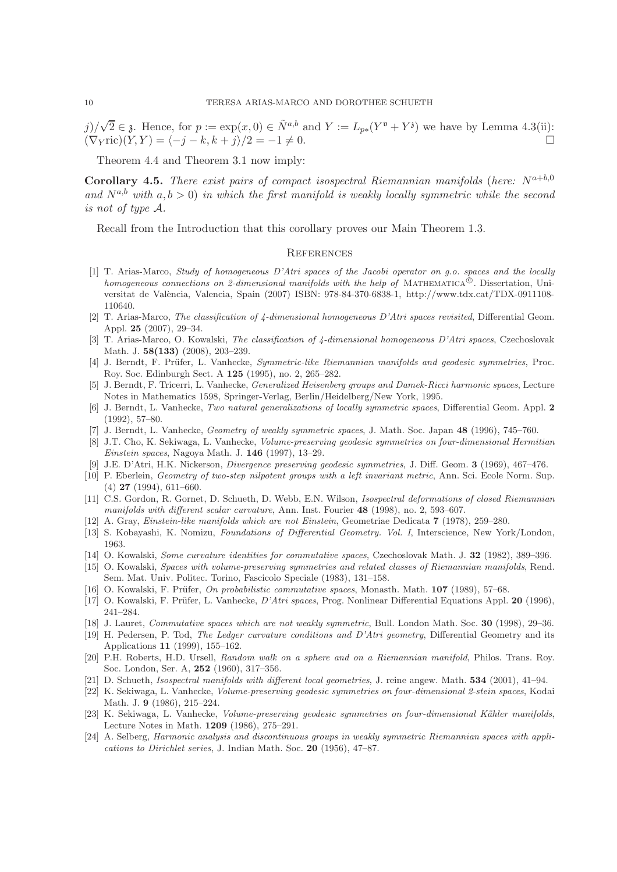$j)/\sqrt{2} \in \mathfrak{z}$ . Hence, for  $p := \exp(x, 0) \in \tilde{N}^{a,b}$  and  $Y := L_{p*}(Y^{\mathfrak{v}} + Y^{\mathfrak{z}})$  we have by Lemma 4.3(ii):  $(\nabla_Y$ ric) $(Y, Y) = \langle -j - k, k + j \rangle / 2 = -1 \neq 0.$ 

Theorem 4.4 and Theorem 3.1 now imply:

**Corollary 4.5.** *There exist pairs of compact isospectral Riemannian manifolds (here:*  $N^{a+b,0}$ and  $N^{a,b}$  with  $a, b > 0$  *in which the first manifold is weakly locally symmetric while the second is not of type* A*.*

Recall from the Introduction that this corollary proves our Main Theorem 1.3.

#### **REFERENCES**

- [1] T. Arias-Marco, Study of homogeneous D'Atri spaces of the Jacobi operator on g.o. spaces and the locally homogeneous connections on 2-dimensional manifolds with the help of MATHEMATICA<sup> $\hat{\mathbb{C}}$ </sup>. Dissertation, Universitat de València, Valencia, Spain (2007) ISBN: 978-84-370-6838-1, http://www.tdx.cat/TDX-0911108-110640.
- [2] T. Arias-Marco, The classification of 4-dimensional homogeneous D'Atri spaces revisited, Differential Geom. Appl. 25 (2007), 29–34.
- [3] T. Arias-Marco, O. Kowalski, The classification of 4-dimensional homogeneous D'Atri spaces, Czechoslovak Math. J. 58(133) (2008), 203–239.
- [4] J. Berndt, F. Prüfer, L. Vanhecke, Symmetric-like Riemannian manifolds and geodesic symmetries, Proc. Roy. Soc. Edinburgh Sect. A 125 (1995), no. 2, 265–282.
- [5] J. Berndt, F. Tricerri, L. Vanhecke, Generalized Heisenberg groups and Damek-Ricci harmonic spaces, Lecture Notes in Mathematics 1598, Springer-Verlag, Berlin/Heidelberg/New York, 1995.
- [6] J. Berndt, L. Vanhecke, Two natural generalizations of locally symmetric spaces, Differential Geom. Appl. 2 (1992), 57–80.
- [7] J. Berndt, L. Vanhecke, Geometry of weakly symmetric spaces, J. Math. Soc. Japan 48 (1996), 745–760.
- [8] J.T. Cho, K. Sekiwaga, L. Vanhecke, Volume-preserving geodesic symmetries on four-dimensional Hermitian *Einstein spaces*, Nagoya Math. J.  $146$  (1997), 13–29.
- [9] J.E. D'Atri, H.K. Nickerson, Divergence preserving geodesic symmetries, J. Diff. Geom. 3 (1969), 467–476.
- [10] P. Eberlein, Geometry of two-step nilpotent groups with a left invariant metric, Ann. Sci. Ecole Norm. Sup.  $(4)$  **27** (1994), 611–660.
- [11] C.S. Gordon, R. Gornet, D. Schueth, D. Webb, E.N. Wilson, Isospectral deformations of closed Riemannian manifolds with different scalar curvature, Ann. Inst. Fourier 48 (1998), no. 2, 593–607.
- [12] A. Gray, Einstein-like manifolds which are not Einstein, Geometriae Dedicata 7 (1978), 259–280.
- [13] S. Kobayashi, K. Nomizu, Foundations of Differential Geometry. Vol. I, Interscience, New York/London, 1963.
- [14] O. Kowalski, Some curvature identities for commutative spaces, Czechoslovak Math. J. 32 (1982), 389–396.
- [15] O. Kowalski, Spaces with volume-preserving symmetries and related classes of Riemannian manifolds, Rend. Sem. Mat. Univ. Politec. Torino, Fascicolo Speciale (1983), 131–158.
- [16] O. Kowalski, F. Prüfer, On probabilistic commutative spaces, Monasth. Math. 107 (1989), 57–68.
- [17] O. Kowalski, F. Prüfer, L. Vanhecke, D'Atri spaces, Prog. Nonlinear Differential Equations Appl. 20 (1996), 241–284.
- [18] J. Lauret, Commutative spaces which are not weakly symmetric, Bull. London Math. Soc. 30 (1998), 29–36.
- [19] H. Pedersen, P. Tod, The Ledger curvature conditions and D'Atri geometry, Differential Geometry and its Applications 11 (1999), 155–162.
- [20] P.H. Roberts, H.D. Ursell, Random walk on a sphere and on a Riemannian manifold, Philos. Trans. Roy. Soc. London, Ser. A, 252 (1960), 317–356.
- [21] D. Schueth, Isospectral manifolds with different local geometries, J. reine angew. Math. 534 (2001), 41–94.
- [22] K. Sekiwaga, L. Vanhecke, Volume-preserving geodesic symmetries on four-dimensional 2-stein spaces, Kodai Math. J. 9 (1986), 215–224.
- [23] K. Sekiwaga, L. Vanhecke, Volume-preserving geodesic symmetries on four-dimensional Kähler manifolds, Lecture Notes in Math. 1209 (1986), 275–291.
- [24] A. Selberg, Harmonic analysis and discontinuous groups in weakly symmetric Riemannian spaces with applications to Dirichlet series, J. Indian Math. Soc.  $20$  (1956), 47–87.